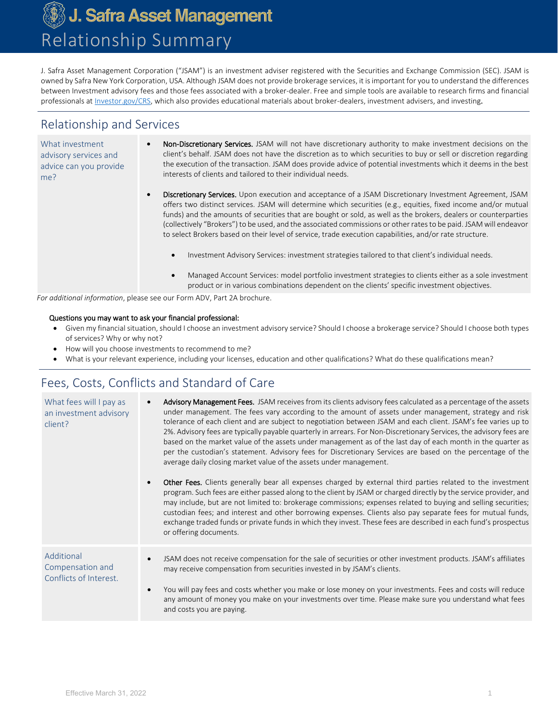**J. Safra Asset Management** Relationship Summary

J. Safra Asset Management Corporation ("JSAM") is an investment adviser registered with the Securities and Exchange Commission (SEC). JSAM is owned by Safra New York Corporation, USA. Although JSAM does not provide brokerage services, it is important for you to understand the differences between Investment advisory fees and those fees associated with a broker-dealer. Free and simple tools are available to research firms and financial professionals at [Investor.gov/CRS,](https://www.investor.gov/CRS) which also provides educational materials about broker-dealers, investment advisers, and investing.

## Relationship and Services

What investment advisory services and advice can you provide me?

- Non-Discretionary Services. JSAM will not have discretionary authority to make investment decisions on the client's behalf. JSAM does not have the discretion as to which securities to buy or sell or discretion regarding the execution of the transaction. JSAM does provide advice of potential investments which it deems in the best interests of clients and tailored to their individual needs.
- **· Discretionary Services.** Upon execution and acceptance of a JSAM Discretionary Investment Agreement, JSAM offers two distinct services. JSAM will determine which securities (e.g., equities, fixed income and/or mutual funds) and the amounts of securities that are bought or sold, as well as the brokers, dealers or counterparties (collectively "Brokers") to be used, and the associated commissions or other rates to be paid. JSAM will endeavor to select Brokers based on their level of service, trade execution capabilities, and/or rate structure.
	- Investment Advisory Services: investment strategies tailored to that client's individual needs.
	- Managed Account Services: model portfolio investment strategies to clients either as a sole investment product or in various combinations dependent on the clients' specific investment objectives.

*For additional information*, please see our Form ADV, Part 2A brochure.

#### Questions you may want to ask your financial professional:

- Given my financial situation, should I choose an investment advisory service? Should I choose a brokerage service? Should I choose both types of services? Why or why not?
- How will you choose investments to recommend to me?
- What is your relevant experience, including your licenses, education and other qualifications? What do these qualifications mean?

# Fees, Costs, Conflicts and Standard of Care

| What fees will I pay as<br>an investment advisory<br>client? | Advisory Management Fees. JSAM receives from its clients advisory fees calculated as a percentage of the assets<br>under management. The fees vary according to the amount of assets under management, strategy and risk<br>tolerance of each client and are subject to negotiation between JSAM and each client. JSAM's fee varies up to<br>2%. Advisory fees are typically payable quarterly in arrears. For Non-Discretionary Services, the advisory fees are<br>based on the market value of the assets under management as of the last day of each month in the quarter as<br>per the custodian's statement. Advisory fees for Discretionary Services are based on the percentage of the<br>average daily closing market value of the assets under management. |
|--------------------------------------------------------------|---------------------------------------------------------------------------------------------------------------------------------------------------------------------------------------------------------------------------------------------------------------------------------------------------------------------------------------------------------------------------------------------------------------------------------------------------------------------------------------------------------------------------------------------------------------------------------------------------------------------------------------------------------------------------------------------------------------------------------------------------------------------|
|                                                              | <b>Other Fees.</b> Clients generally bear all expenses charged by external third parties related to the investment<br>program. Such fees are either passed along to the client by JSAM or charged directly by the service provider, and<br>may include, but are not limited to: brokerage commissions; expenses related to buying and selling securities;<br>custodian fees; and interest and other borrowing expenses. Clients also pay separate fees for mutual funds,<br>exchange traded funds or private funds in which they invest. These fees are described in each fund's prospectus<br>or offering documents.                                                                                                                                               |
| Additional<br>Compensation and<br>Conflicts of Interest.     | JSAM does not receive compensation for the sale of securities or other investment products. JSAM's affiliates<br>$\bullet$<br>may receive compensation from securities invested in by JSAM's clients.                                                                                                                                                                                                                                                                                                                                                                                                                                                                                                                                                               |
|                                                              | You will pay fees and costs whether you make or lose money on your investments. Fees and costs will reduce<br>$\bullet$<br>any amount of money you make on your investments over time. Please make sure you understand what fees<br>and costs you are paying.                                                                                                                                                                                                                                                                                                                                                                                                                                                                                                       |